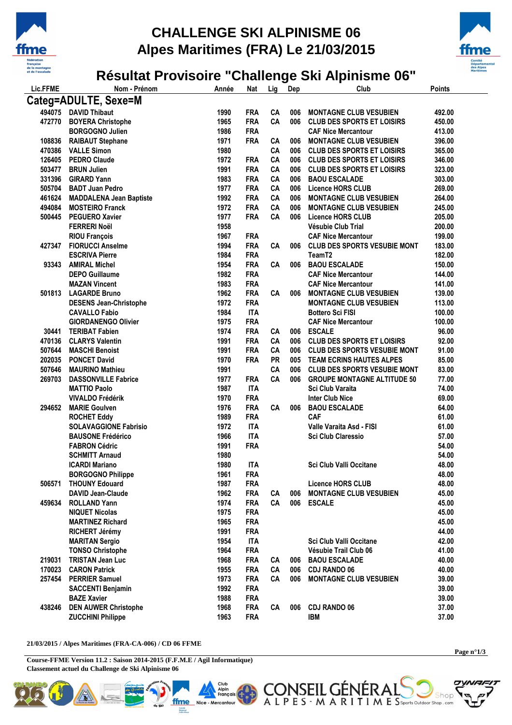

## **CHALLENGE SKI ALPINISME 06 Alpes Maritimes (FRA) Le 21/03/2015**



## **Résultat Provisoire "Challenge Ski Alpinisme 06"**<br>Nom - Prénom Année Nat Lig Dep<br>Club

| Lic.FFME | Nom - Prénom                   | Année | <b>Nat</b> | Lig       | Dep | Club                                | <b>Points</b> |
|----------|--------------------------------|-------|------------|-----------|-----|-------------------------------------|---------------|
|          | Categ=ADULTE, Sexe=M           |       |            |           |     |                                     |               |
|          | 494075 DAVID Thibaut           | 1990  | <b>FRA</b> | <b>CA</b> | 006 | <b>MONTAGNE CLUB VESUBIEN</b>       | 492.00        |
| 472770   | <b>BOYERA Christophe</b>       | 1965  | <b>FRA</b> | CA        | 006 | <b>CLUB DES SPORTS ET LOISIRS</b>   | 450.00        |
|          | <b>BORGOGNO Julien</b>         | 1986  | <b>FRA</b> |           |     | <b>CAF Nice Mercantour</b>          | 413.00        |
| 108836   | <b>RAIBAUT Stephane</b>        | 1971  | <b>FRA</b> | <b>CA</b> | 006 | <b>MONTAGNE CLUB VESUBIEN</b>       | 396.00        |
| 470386   | <b>VALLE Simon</b>             | 1980  |            | CA        | 006 | <b>CLUB DES SPORTS ET LOISIRS</b>   | 365.00        |
| 126405   | <b>PEDRO Claude</b>            | 1972  | <b>FRA</b> | CA        | 006 | <b>CLUB DES SPORTS ET LOISIRS</b>   | 346.00        |
| 503477   | <b>BRUN Julien</b>             | 1991  | <b>FRA</b> | CA        | 006 | <b>CLUB DES SPORTS ET LOISIRS</b>   | 323.00        |
| 331396   | <b>GIRARD Yann</b>             | 1983  | <b>FRA</b> | CA        | 006 | <b>BAOU ESCALADE</b>                | 303.00        |
| 505704   | <b>BADT Juan Pedro</b>         | 1977  | <b>FRA</b> | <b>CA</b> | 006 | <b>Licence HORS CLUB</b>            | 269.00        |
| 461624   | <b>MADDALENA Jean Baptiste</b> | 1992  | <b>FRA</b> | CA        | 006 | <b>MONTAGNE CLUB VESUBIEN</b>       | 264.00        |
| 494084   | <b>MOSTEIRO Franck</b>         | 1972  | <b>FRA</b> | CA        | 006 | <b>MONTAGNE CLUB VESUBIEN</b>       | 245.00        |
| 500445   | <b>PEGUERO Xavier</b>          | 1977  | <b>FRA</b> | CA        | 006 | <b>Licence HORS CLUB</b>            | 205.00        |
|          | <b>FERRERI Noël</b>            | 1958  |            |           |     | Vésubie Club Trial                  | 200.00        |
|          | <b>RIOU François</b>           | 1967  | <b>FRA</b> |           |     | <b>CAF Nice Mercantour</b>          | 199.00        |
| 427347   | <b>FIORUCCI Anselme</b>        | 1994  | <b>FRA</b> | CA        | 006 | <b>CLUB DES SPORTS VESUBIE MONT</b> | 183.00        |
|          | <b>ESCRIVA Pierre</b>          | 1984  | <b>FRA</b> |           |     | TeamT2                              | 182.00        |
| 93343    | <b>AMIRAL Michel</b>           | 1954  | <b>FRA</b> | <b>CA</b> | 006 | <b>BAOU ESCALADE</b>                | 150.00        |
|          | <b>DEPO Guillaume</b>          | 1982  | <b>FRA</b> |           |     | <b>CAF Nice Mercantour</b>          | 144.00        |
|          | <b>MAZAN Vincent</b>           | 1983  | <b>FRA</b> |           |     | <b>CAF Nice Mercantour</b>          | 141.00        |
| 501813   | <b>LAGARDE Bruno</b>           | 1962  | <b>FRA</b> | CA        | 006 | <b>MONTAGNE CLUB VESUBIEN</b>       | 139.00        |
|          | <b>DESENS Jean-Christophe</b>  | 1972  | <b>FRA</b> |           |     | <b>MONTAGNE CLUB VESUBIEN</b>       | 113.00        |
|          | <b>CAVALLO Fabio</b>           | 1984  | <b>ITA</b> |           |     | <b>Bottero Sci FISI</b>             | 100.00        |
|          | <b>GIORDANENGO Olivier</b>     | 1975  | <b>FRA</b> |           |     | <b>CAF Nice Mercantour</b>          | 100.00        |
| 30441    | <b>TERIBAT Fabien</b>          | 1974  | <b>FRA</b> | CA        | 006 | <b>ESCALE</b>                       | 96.00         |
| 470136   | <b>CLARYS Valentin</b>         | 1991  | <b>FRA</b> | CA        | 006 | <b>CLUB DES SPORTS ET LOISIRS</b>   | 92.00         |
| 507644   | <b>MASCHI Benoist</b>          | 1991  | <b>FRA</b> | CA        | 006 | <b>CLUB DES SPORTS VESUBIE MONT</b> | 91.00         |
| 202035   | <b>PONCET David</b>            | 1970  | <b>FRA</b> | <b>PR</b> | 005 | <b>TEAM ECRINS HAUTES ALPES</b>     | 85.00         |
| 507646   | <b>MAURINO Mathieu</b>         | 1991  |            | CA        | 006 | <b>CLUB DES SPORTS VESUBIE MONT</b> | 83.00         |
| 269703   | <b>DASSONVILLE Fabrice</b>     | 1977  | <b>FRA</b> | CA        | 006 | <b>GROUPE MONTAGNE ALTITUDE 50</b>  | 77.00         |
|          | <b>MATTIO Paolo</b>            | 1987  | <b>ITA</b> |           |     | <b>Sci Club Varaita</b>             | 74.00         |
|          | <b>VIVALDO Frédérik</b>        | 1970  | <b>FRA</b> |           |     | <b>Inter Club Nice</b>              | 69.00         |
| 294652   | <b>MARIE Goulven</b>           | 1976  | <b>FRA</b> | CA        | 006 | <b>BAOU ESCALADE</b>                | 64.00         |
|          | <b>ROCHET Eddy</b>             | 1989  | <b>FRA</b> |           |     | <b>CAF</b>                          | 61.00         |
|          | <b>SOLAVAGGIONE Fabrisio</b>   | 1972  | <b>ITA</b> |           |     | Valle Varaita Asd - FISI            | 61.00         |
|          | <b>BAUSONE Frédérico</b>       | 1966  | <b>ITA</b> |           |     | <b>Sci Club Claressio</b>           | 57.00         |
|          | <b>FABRON Cédric</b>           | 1991  | <b>FRA</b> |           |     |                                     | 54.00         |
|          | <b>SCHMITT Arnaud</b>          | 1980  |            |           |     |                                     | 54.00         |
|          | <b>ICARDI Mariano</b>          | 1980  | <b>ITA</b> |           |     | Sci Club Valli Occitane             | 48.00         |
|          | <b>BORGOGNO Philippe</b>       | 1961  | <b>FRA</b> |           |     |                                     | 48.00         |
| 506571   | <b>THOUNY Edouard</b>          | 1987  | <b>FRA</b> |           |     | <b>Licence HORS CLUB</b>            | 48.00         |
|          | <b>DAVID Jean-Claude</b>       | 1962  | <b>FRA</b> | СA        | 006 | <b>MONTAGNE CLUB VESUBIEN</b>       | 45.00         |
| 459634   | <b>ROLLAND Yann</b>            | 1974  | <b>FRA</b> | <b>CA</b> | 006 | <b>ESCALE</b>                       | 45.00         |
|          | <b>NIQUET Nicolas</b>          | 1975  | <b>FRA</b> |           |     |                                     | 45.00         |
|          | <b>MARTINEZ Richard</b>        | 1965  | <b>FRA</b> |           |     |                                     | 45.00         |
|          | RICHERT Jérémy                 | 1991  | <b>FRA</b> |           |     |                                     | 44.00         |
|          | <b>MARITAN Sergio</b>          | 1954  | <b>ITA</b> |           |     | <b>Sci Club Valli Occitane</b>      | 42.00         |
|          | <b>TONSO Christophe</b>        | 1964  | <b>FRA</b> |           |     | Vésubie Trail Club 06               | 41.00         |
| 219031   | <b>TRISTAN Jean Luc</b>        | 1968  | <b>FRA</b> | CА        | 006 | <b>BAOU ESCALADE</b>                | 40.00         |
| 170023   | <b>CARON Patrick</b>           | 1955  | <b>FRA</b> | CA        | 006 | <b>CDJ RANDO 06</b>                 | 40.00         |
| 257454   | <b>PERRIER Samuel</b>          | 1973  | <b>FRA</b> | CA        | 006 | <b>MONTAGNE CLUB VESUBIEN</b>       | 39.00         |
|          | <b>SACCENTI Benjamin</b>       | 1992  | <b>FRA</b> |           |     |                                     | 39.00         |
|          | <b>BAZE Xavier</b>             | 1988  | <b>FRA</b> |           |     |                                     | 39.00         |
| 438246   | <b>DEN AUWER Christophe</b>    | 1968  | <b>FRA</b> | CA        | 006 | <b>CDJ RANDO 06</b>                 | 37.00         |
|          | <b>ZUCCHINI Philippe</b>       | 1963  | <b>FRA</b> |           |     | <b>IBM</b>                          | 37.00         |
|          |                                |       |            |           |     |                                     |               |

**21/03/2015 / Alpes Maritimes (FRA-CA-006) / CD 06 FFME**

**Course-FFME Version 11.2 : Saison 2014-2015 (F.F.M.E / Agil Informatique) Classement actuel du Challenge de Ski Alpinisme 06**

Club<br>Alpin

Fran

**Mercantour** 

**ffme** 

**Page n°1/3**

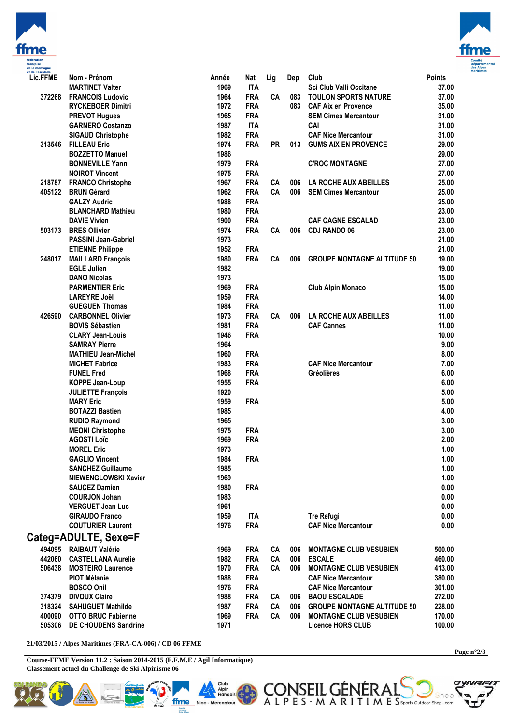



| Lic.FFME | Nom - Prénom                                      | Année        | Nat        | Lig       | Dep | Club                               | <b>Points</b> |
|----------|---------------------------------------------------|--------------|------------|-----------|-----|------------------------------------|---------------|
|          | <b>MARTINET Valter</b>                            | 1969         | <b>ITA</b> |           |     | Sci Club Valli Occitane            | 37.00         |
| 372268   | <b>FRANCOIS Ludovic</b>                           | 1964         | <b>FRA</b> | <b>CA</b> | 083 | <b>TOULON SPORTS NATURE</b>        | 37.00         |
|          | <b>RYCKEBOER Dimitri</b>                          | 1972         | <b>FRA</b> |           | 083 | <b>CAF Aix en Provence</b>         | 35.00         |
|          | <b>PREVOT Hugues</b>                              | 1965         | <b>FRA</b> |           |     | <b>SEM Cimes Mercantour</b>        | 31.00         |
|          | <b>GARNERO Costanzo</b>                           | 1987         | <b>ITA</b> |           |     | CAI                                | 31.00         |
|          | <b>SIGAUD Christophe</b>                          | 1982         | <b>FRA</b> |           |     | <b>CAF Nice Mercantour</b>         | 31.00         |
| 313546   | <b>FILLEAU Eric</b>                               | 1974         | <b>FRA</b> | <b>PR</b> | 013 | <b>GUMS AIX EN PROVENCE</b>        | 29.00         |
|          | <b>BOZZETTO Manuel</b>                            | 1986         |            |           |     |                                    | 29.00         |
|          | <b>BONNEVILLE Yann</b>                            | 1979         | <b>FRA</b> |           |     | <b>C'ROC MONTAGNE</b>              | 27.00         |
|          | <b>NOIROT Vincent</b>                             | 1975         | <b>FRA</b> |           |     |                                    | 27.00         |
| 218787   | <b>FRANCO Christophe</b>                          | 1967         | <b>FRA</b> | <b>CA</b> | 006 | <b>LA ROCHE AUX ABEILLES</b>       | 25.00         |
| 405122   | <b>BRUN Gérard</b>                                | 1962         | <b>FRA</b> | <b>CA</b> | 006 | <b>SEM Cimes Mercantour</b>        | 25.00         |
|          | <b>GALZY Audric</b>                               | 1988         | <b>FRA</b> |           |     |                                    | 25.00         |
|          | <b>BLANCHARD Mathieu</b>                          | 1980         | <b>FRA</b> |           |     |                                    | 23.00         |
|          | <b>DAVIE Vivien</b>                               | 1900         | <b>FRA</b> |           |     | <b>CAF CAGNE ESCALAD</b>           | 23.00         |
| 503173   | <b>BRES Ollivier</b>                              | 1974         | <b>FRA</b> | CA        | 006 | <b>CDJ RANDO 06</b>                | 23.00         |
|          | <b>PASSINI Jean-Gabriel</b>                       | 1973         |            |           |     |                                    | 21.00         |
|          | <b>ETIENNE Philippe</b>                           | 1952         | <b>FRA</b> |           |     |                                    | 21.00         |
| 248017   | <b>MAILLARD François</b>                          | 1980         | <b>FRA</b> | <b>CA</b> | 006 | <b>GROUPE MONTAGNE ALTITUDE 50</b> | 19.00         |
|          | <b>EGLE Julien</b>                                | 1982         |            |           |     |                                    | 19.00         |
|          | <b>DANO Nicolas</b>                               | 1973         |            |           |     |                                    | 15.00         |
|          | <b>PARMENTIER Eric</b>                            | 1969         | <b>FRA</b> |           |     | <b>Club Alpin Monaco</b>           | 15.00         |
|          | <b>LAREYRE Joël</b>                               | 1959         | <b>FRA</b> |           |     |                                    | 14.00         |
|          | <b>GUEGUEN Thomas</b>                             | 1984         | <b>FRA</b> |           |     |                                    | 11.00         |
| 426590   | <b>CARBONNEL Olivier</b>                          | 1973         | <b>FRA</b> | <b>CA</b> | 006 | <b>LA ROCHE AUX ABEILLES</b>       | 11.00         |
|          | <b>BOVIS Sébastien</b>                            | 1981         | <b>FRA</b> |           |     | <b>CAF Cannes</b>                  | 11.00         |
|          | <b>CLARY Jean-Louis</b>                           | 1946         | <b>FRA</b> |           |     |                                    | 10.00         |
|          | <b>SAMRAY Pierre</b>                              | 1964         |            |           |     |                                    | 9.00          |
|          | <b>MATHIEU Jean-Michel</b>                        | 1960         | <b>FRA</b> |           |     |                                    | 8.00          |
|          | <b>MICHET Fabrice</b>                             | 1983         | <b>FRA</b> |           |     | <b>CAF Nice Mercantour</b>         | 7.00          |
|          | <b>FUNEL Fred</b>                                 | 1968         | <b>FRA</b> |           |     | Gréolières                         | 6.00          |
|          | <b>KOPPE Jean-Loup</b>                            | 1955         | <b>FRA</b> |           |     |                                    | 6.00          |
|          |                                                   | 1920         |            |           |     |                                    | 5.00          |
|          | <b>JULIETTE François</b><br><b>MARY Eric</b>      | 1959         | <b>FRA</b> |           |     |                                    | 5.00          |
|          | <b>BOTAZZI Bastien</b>                            | 1985         |            |           |     |                                    | 4.00          |
|          |                                                   | 1965         |            |           |     |                                    | 3.00          |
|          | <b>RUDIO Raymond</b><br><b>MEONI Christophe</b>   | 1975         | <b>FRA</b> |           |     |                                    | 3.00          |
|          | <b>AGOSTI Loïc</b>                                | 1969         | <b>FRA</b> |           |     |                                    | 2.00          |
|          | <b>MOREL Eric</b>                                 |              |            |           |     |                                    | 1.00          |
|          |                                                   | 1973         |            |           |     |                                    |               |
|          | <b>GAGLIO Vincent</b><br><b>SANCHEZ Guillaume</b> | 1984         | <b>FRA</b> |           |     |                                    | 1.00          |
|          | <b>NIEWENGLOWSKI Xavier</b>                       | 1985<br>1969 |            |           |     |                                    | 1.00<br>1.00  |
|          |                                                   |              |            |           |     |                                    |               |
|          | <b>SAUCEZ Damien</b>                              | 1980         | <b>FRA</b> |           |     |                                    | 0.00          |
|          | <b>COURJON Johan</b><br><b>VERGUET Jean Luc</b>   | 1983         |            |           |     |                                    | 0.00          |
|          |                                                   | 1961         |            |           |     |                                    | 0.00          |
|          | <b>GIRAUDO Franco</b>                             | 1959         | <b>ITA</b> |           |     | <b>Tre Refugi</b>                  | 0.00          |
|          | <b>COUTURIER Laurent</b>                          | 1976         | <b>FRA</b> |           |     | <b>CAF Nice Mercantour</b>         | 0.00          |
|          | Categ=ADULTE, Sexe=F                              |              |            |           |     |                                    |               |
| 494095   | <b>RAIBAUT Valérie</b>                            | 1969         | <b>FRA</b> | CA        | 006 | <b>MONTAGNE CLUB VESUBIEN</b>      | 500.00        |
| 442060   | <b>CASTELLANA Aurelie</b>                         | 1982         | <b>FRA</b> | CA        | 006 | <b>ESCALE</b>                      | 460.00        |
| 506438   | <b>MOSTEIRO Laurence</b>                          | 1970         | <b>FRA</b> | <b>CA</b> | 006 | <b>MONTAGNE CLUB VESUBIEN</b>      | 413.00        |
|          | <b>PIOT Mélanie</b>                               | 1988         | <b>FRA</b> |           |     | <b>CAF Nice Mercantour</b>         | 380.00        |
|          | <b>BOSCO Onil</b>                                 | 1976         | <b>FRA</b> |           |     | <b>CAF Nice Mercantour</b>         | 301.00        |
| 374379   | <b>DIVOUX Claire</b>                              | 1988         | <b>FRA</b> | CA        | 006 | <b>BAOU ESCALADE</b>               | 272.00        |
| 318324   | <b>SAHUGUET Mathilde</b>                          | 1987         | <b>FRA</b> | CA        | 006 | <b>GROUPE MONTAGNE ALTITUDE 50</b> | 228.00        |
| 400090   | <b>OTTO BRUC Fabienne</b>                         | 1969         | <b>FRA</b> | CA        | 006 | <b>MONTAGNE CLUB VESUBIEN</b>      | 170.00        |
| 505306   | <b>DE CHOUDENS Sandrine</b>                       | 1971         |            |           |     | <b>Licence HORS CLUB</b>           | 100.00        |

**21/03/2015 / Alpes Maritimes (FRA-CA-006) / CD 06 FFME**

**Course-FFME Version 11.2 : Saison 2014-2015 (F.F.M.E / Agil Informatique) Classement actuel du Challenge de Ski Alpinisme 06**

Club<br>Alpin<br>Franç

Nice - Mercantour

ffme

Comité<br>Régional<br>Cote d'Azur

**Page n°2/3**

-77